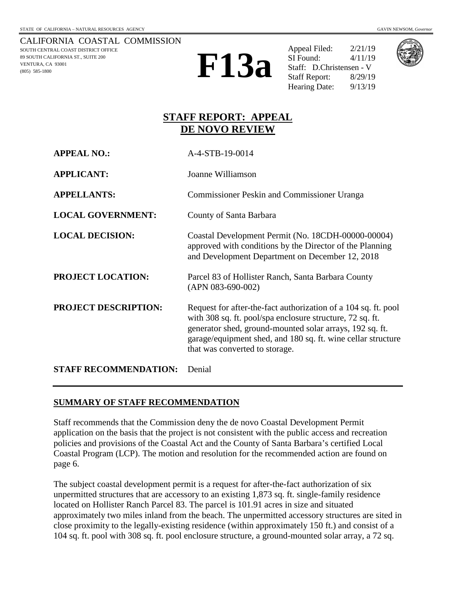CALIFORNIA COASTAL COMMISSION SOUTH CENTRAL COAST DISTRICT OFFICE 89 SOUTH CALIFORNIA ST., SUITE 200 VENTURA, CA 93001 (805) 585-1800



Appeal Filed: 2/21/19 SI Found: 4/11/19 Staff: D.Christensen - V Staff Report: 8/29/19 Hearing Date:  $9/13/19$ 



## **STAFF REPORT: APPEAL DE NOVO REVIEW**

| <b>APPEAL NO.:</b>           | A-4-STB-19-0014                                                                                                                                                                                                                                                                           |
|------------------------------|-------------------------------------------------------------------------------------------------------------------------------------------------------------------------------------------------------------------------------------------------------------------------------------------|
| <b>APPLICANT:</b>            | Joanne Williamson                                                                                                                                                                                                                                                                         |
| <b>APPELLANTS:</b>           | <b>Commissioner Peskin and Commissioner Uranga</b>                                                                                                                                                                                                                                        |
| <b>LOCAL GOVERNMENT:</b>     | County of Santa Barbara                                                                                                                                                                                                                                                                   |
| <b>LOCAL DECISION:</b>       | Coastal Development Permit (No. 18CDH-00000-00004)<br>approved with conditions by the Director of the Planning<br>and Development Department on December 12, 2018                                                                                                                         |
| <b>PROJECT LOCATION:</b>     | Parcel 83 of Hollister Ranch, Santa Barbara County<br>$(APN 083-690-002)$                                                                                                                                                                                                                 |
| <b>PROJECT DESCRIPTION:</b>  | Request for after-the-fact authorization of a 104 sq. ft. pool<br>with 308 sq. ft. pool/spa enclosure structure, 72 sq. ft.<br>generator shed, ground-mounted solar arrays, 192 sq. ft.<br>garage/equipment shed, and 180 sq. ft. wine cellar structure<br>that was converted to storage. |
| <b>STAFF RECOMMENDATION:</b> | Denial                                                                                                                                                                                                                                                                                    |

## **SUMMARY OF STAFF RECOMMENDATION**

Staff recommends that the Commission deny the de novo Coastal Development Permit application on the basis that the project is not consistent with the public access and recreation policies and provisions of the Coastal Act and the County of Santa Barbara's certified Local Coastal Program (LCP). The motion and resolution for the recommended action are found on page 6.

The subject coastal development permit is a request for after-the-fact authorization of six unpermitted structures that are accessory to an existing 1,873 sq. ft. single-family residence located on Hollister Ranch Parcel 83. The parcel is 101.91 acres in size and situated approximately two miles inland from the beach. The unpermitted accessory structures are sited in close proximity to the legally-existing residence (within approximately 150 ft.) and consist of a 104 sq. ft. pool with 308 sq. ft. pool enclosure structure, a ground-mounted solar array, a 72 sq.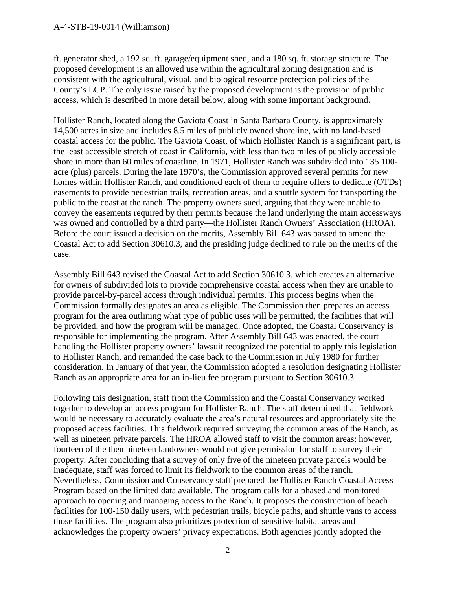ft. generator shed, a 192 sq. ft. garage/equipment shed, and a 180 sq. ft. storage structure. The proposed development is an allowed use within the agricultural zoning designation and is consistent with the agricultural, visual, and biological resource protection policies of the County's LCP. The only issue raised by the proposed development is the provision of public access, which is described in more detail below, along with some important background.

Hollister Ranch, located along the Gaviota Coast in Santa Barbara County, is approximately 14,500 acres in size and includes 8.5 miles of publicly owned shoreline, with no land-based coastal access for the public. The Gaviota Coast, of which Hollister Ranch is a significant part, is the least accessible stretch of coast in California, with less than two miles of publicly accessible shore in more than 60 miles of coastline. In 1971, Hollister Ranch was subdivided into 135 100 acre (plus) parcels. During the late 1970's, the Commission approved several permits for new homes within Hollister Ranch, and conditioned each of them to require offers to dedicate (OTDs) easements to provide pedestrian trails, recreation areas, and a shuttle system for transporting the public to the coast at the ranch. The property owners sued, arguing that they were unable to convey the easements required by their permits because the land underlying the main accessways was owned and controlled by a third party—the Hollister Ranch Owners' Association (HROA). Before the court issued a decision on the merits, Assembly Bill 643 was passed to amend the Coastal Act to add Section 30610.3, and the presiding judge declined to rule on the merits of the case.

Assembly Bill 643 revised the Coastal Act to add Section 30610.3, which creates an alternative for owners of subdivided lots to provide comprehensive coastal access when they are unable to provide parcel-by-parcel access through individual permits. This process begins when the Commission formally designates an area as eligible. The Commission then prepares an access program for the area outlining what type of public uses will be permitted, the facilities that will be provided, and how the program will be managed. Once adopted, the Coastal Conservancy is responsible for implementing the program. After Assembly Bill 643 was enacted, the court handling the Hollister property owners' lawsuit recognized the potential to apply this legislation to Hollister Ranch, and remanded the case back to the Commission in July 1980 for further consideration. In January of that year, the Commission adopted a resolution designating Hollister Ranch as an appropriate area for an in-lieu fee program pursuant to Section 30610.3.

Following this designation, staff from the Commission and the Coastal Conservancy worked together to develop an access program for Hollister Ranch. The staff determined that fieldwork would be necessary to accurately evaluate the area's natural resources and appropriately site the proposed access facilities. This fieldwork required surveying the common areas of the Ranch, as well as nineteen private parcels. The HROA allowed staff to visit the common areas; however, fourteen of the then nineteen landowners would not give permission for staff to survey their property. After concluding that a survey of only five of the nineteen private parcels would be inadequate, staff was forced to limit its fieldwork to the common areas of the ranch. Nevertheless, Commission and Conservancy staff prepared the Hollister Ranch Coastal Access Program based on the limited data available. The program calls for a phased and monitored approach to opening and managing access to the Ranch. It proposes the construction of beach facilities for 100-150 daily users, with pedestrian trails, bicycle paths, and shuttle vans to access those facilities. The program also prioritizes protection of sensitive habitat areas and acknowledges the property owners' privacy expectations. Both agencies jointly adopted the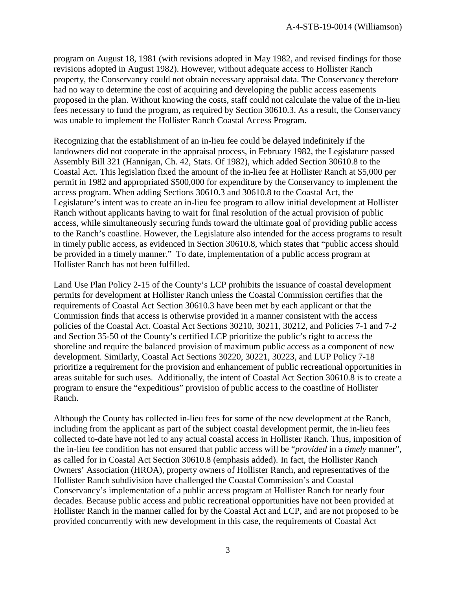program on August 18, 1981 (with revisions adopted in May 1982, and revised findings for those revisions adopted in August 1982). However, without adequate access to Hollister Ranch property, the Conservancy could not obtain necessary appraisal data. The Conservancy therefore had no way to determine the cost of acquiring and developing the public access easements proposed in the plan. Without knowing the costs, staff could not calculate the value of the in-lieu fees necessary to fund the program, as required by Section 30610.3. As a result, the Conservancy was unable to implement the Hollister Ranch Coastal Access Program.

Recognizing that the establishment of an in-lieu fee could be delayed indefinitely if the landowners did not cooperate in the appraisal process, in February 1982, the Legislature passed Assembly Bill 321 (Hannigan, Ch. 42, Stats. Of 1982), which added Section 30610.8 to the Coastal Act. This legislation fixed the amount of the in-lieu fee at Hollister Ranch at \$5,000 per permit in 1982 and appropriated \$500,000 for expenditure by the Conservancy to implement the access program. When adding Sections 30610.3 and 30610.8 to the Coastal Act, the Legislature's intent was to create an in-lieu fee program to allow initial development at Hollister Ranch without applicants having to wait for final resolution of the actual provision of public access, while simultaneously securing funds toward the ultimate goal of providing public access to the Ranch's coastline. However, the Legislature also intended for the access programs to result in timely public access, as evidenced in Section 30610.8, which states that "public access should be provided in a timely manner." To date, implementation of a public access program at Hollister Ranch has not been fulfilled.

Land Use Plan Policy 2-15 of the County's LCP prohibits the issuance of coastal development permits for development at Hollister Ranch unless the Coastal Commission certifies that the requirements of Coastal Act Section 30610.3 have been met by each applicant or that the Commission finds that access is otherwise provided in a manner consistent with the access policies of the Coastal Act. Coastal Act Sections 30210, 30211, 30212, and Policies 7-1 and 7-2 and Section 35-50 of the County's certified LCP prioritize the public's right to access the shoreline and require the balanced provision of maximum public access as a component of new development. Similarly, Coastal Act Sections 30220, 30221, 30223, and LUP Policy 7-18 prioritize a requirement for the provision and enhancement of public recreational opportunities in areas suitable for such uses. Additionally, the intent of Coastal Act Section 30610.8 is to create a program to ensure the "expeditious" provision of public access to the coastline of Hollister Ranch.

Although the County has collected in-lieu fees for some of the new development at the Ranch, including from the applicant as part of the subject coastal development permit, the in-lieu fees collected to-date have not led to any actual coastal access in Hollister Ranch. Thus, imposition of the in-lieu fee condition has not ensured that public access will be "*provided* in a *timely* manner", as called for in Coastal Act Section 30610.8 (emphasis added). In fact, the Hollister Ranch Owners' Association (HROA), property owners of Hollister Ranch, and representatives of the Hollister Ranch subdivision have challenged the Coastal Commission's and Coastal Conservancy's implementation of a public access program at Hollister Ranch for nearly four decades. Because public access and public recreational opportunities have not been provided at Hollister Ranch in the manner called for by the Coastal Act and LCP, and are not proposed to be provided concurrently with new development in this case, the requirements of Coastal Act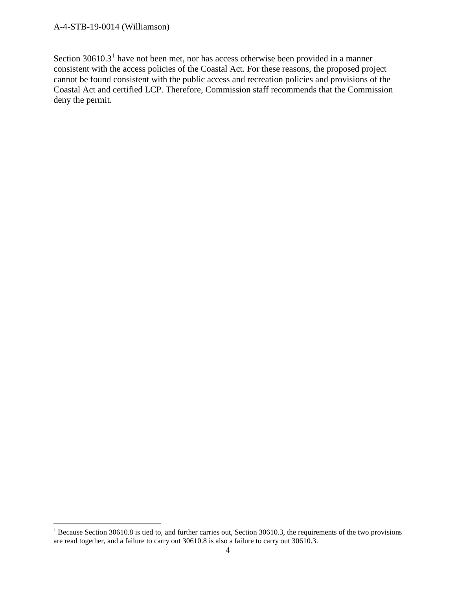#### A-4-STB-19-0014 (Williamson)

Section  $30610.3<sup>1</sup>$  $30610.3<sup>1</sup>$  $30610.3<sup>1</sup>$  have not been met, nor has access otherwise been provided in a manner consistent with the access policies of the Coastal Act. For these reasons, the proposed project cannot be found consistent with the public access and recreation policies and provisions of the Coastal Act and certified LCP. Therefore, Commission staff recommends that the Commission deny the permit.

<span id="page-3-0"></span><sup>&</sup>lt;sup>1</sup> Because Section 30610.8 is tied to, and further carries out, Section 30610.3, the requirements of the two provisions are read together, and a failure to carry out 30610.8 is also a failure to carry out 30610.3.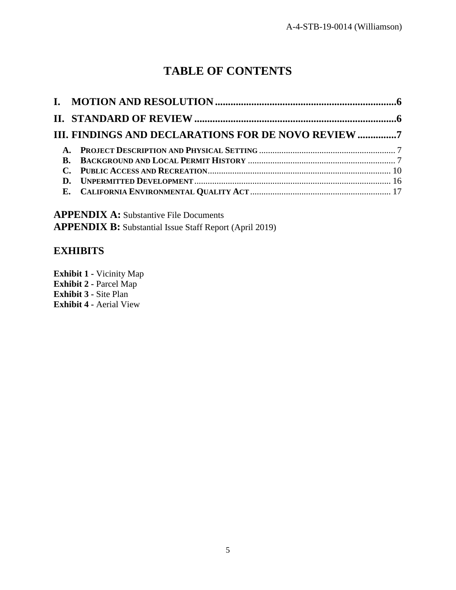# **TABLE OF CONTENTS**

| III. FINDINGS AND DECLARATIONS FOR DE NOVO REVIEW 7 |  |
|-----------------------------------------------------|--|
|                                                     |  |
|                                                     |  |
|                                                     |  |
|                                                     |  |
|                                                     |  |

**APPENDIX A:** [Substantive File Documents](#page-16-1) **APPENDIX B:** [Substantial Issue Staff Report \(April](#page-17-0) 2019)

## **EXHIBITS**

**Exhibit 1 -** [Vicinity Map](https://documents.coastal.ca.gov/reports/2019/9/F13a/F13a-9-2019-exhibits.pdf) **Exhibit 2 -** Parcel Map **Exhibit 3 -** Site Plan **Exhibit 4 -** Aerial View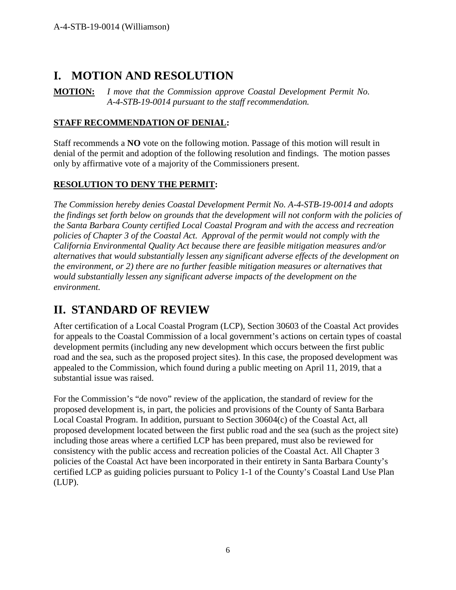## <span id="page-5-0"></span>**I. MOTION AND RESOLUTION**

**MOTION:** *I move that the Commission approve Coastal Development Permit No. A-4-STB-19-0014 pursuant to the staff recommendation.*

## **STAFF RECOMMENDATION OF DENIAL:**

Staff recommends a **NO** vote on the following motion. Passage of this motion will result in denial of the permit and adoption of the following resolution and findings. The motion passes only by affirmative vote of a majority of the Commissioners present.

## **RESOLUTION TO DENY THE PERMIT:**

*The Commission hereby denies Coastal Development Permit No. A-4-STB-19-0014 and adopts the findings set forth below on grounds that the development will not conform with the policies of the Santa Barbara County certified Local Coastal Program and with the access and recreation policies of Chapter 3 of the Coastal Act. Approval of the permit would not comply with the California Environmental Quality Act because there are feasible mitigation measures and/or alternatives that would substantially lessen any significant adverse effects of the development on the environment, or 2) there are no further feasible mitigation measures or alternatives that would substantially lessen any significant adverse impacts of the development on the environment.*

# <span id="page-5-1"></span>**II. STANDARD OF REVIEW**

After certification of a Local Coastal Program (LCP), Section 30603 of the Coastal Act provides for appeals to the Coastal Commission of a local government's actions on certain types of coastal development permits (including any new development which occurs between the first public road and the sea, such as the proposed project sites). In this case, the proposed development was appealed to the Commission, which found during a public meeting on April 11, 2019, that a substantial issue was raised.

For the Commission's "de novo" review of the application, the standard of review for the proposed development is, in part, the policies and provisions of the County of Santa Barbara Local Coastal Program. In addition, pursuant to Section 30604(c) of the Coastal Act, all proposed development located between the first public road and the sea (such as the project site) including those areas where a certified LCP has been prepared, must also be reviewed for consistency with the public access and recreation policies of the Coastal Act. All Chapter 3 policies of the Coastal Act have been incorporated in their entirety in Santa Barbara County's certified LCP as guiding policies pursuant to Policy 1-1 of the County's Coastal Land Use Plan (LUP).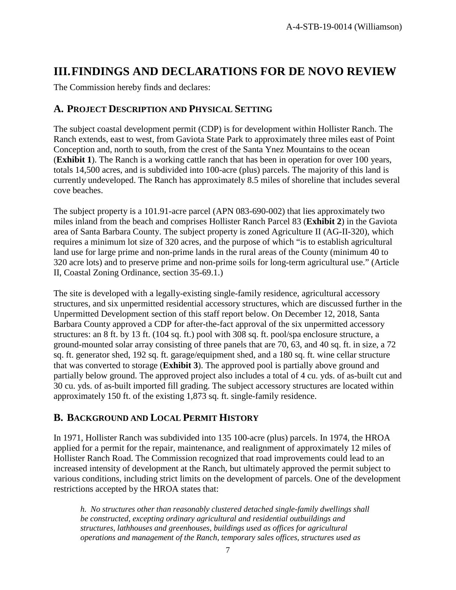# <span id="page-6-0"></span>**III.FINDINGS AND DECLARATIONS FOR DE NOVO REVIEW**

The Commission hereby finds and declares:

## <span id="page-6-1"></span>**A. PROJECT DESCRIPTION AND PHYSICAL SETTING**

The subject coastal development permit (CDP) is for development within Hollister Ranch. The Ranch extends, east to west, from Gaviota State Park to approximately three miles east of Point Conception and, north to south, from the crest of the Santa Ynez Mountains to the ocean (**Exhibit 1**). The Ranch is a working cattle ranch that has been in operation for over 100 years, totals 14,500 acres, and is subdivided into 100-acre (plus) parcels. The majority of this land is currently undeveloped. The Ranch has approximately 8.5 miles of shoreline that includes several cove beaches.

The subject property is a 101.91-acre parcel (APN 083-690-002) that lies approximately two miles inland from the beach and comprises Hollister Ranch Parcel 83 (**Exhibit 2**) in the Gaviota area of Santa Barbara County. The subject property is zoned Agriculture II (AG-II-320), which requires a minimum lot size of 320 acres, and the purpose of which "is to establish agricultural land use for large prime and non-prime lands in the rural areas of the County (minimum 40 to 320 acre lots) and to preserve prime and non-prime soils for long-term agricultural use." (Article II, Coastal Zoning Ordinance, section 35-69.1.)

The site is developed with a legally-existing single-family residence, agricultural accessory structures, and six unpermitted residential accessory structures, which are discussed further in the Unpermitted Development section of this staff report below. On December 12, 2018, Santa Barbara County approved a CDP for after-the-fact approval of the six unpermitted accessory structures: an 8 ft. by 13 ft. (104 sq. ft.) pool with 308 sq. ft. pool/spa enclosure structure, a ground-mounted solar array consisting of three panels that are 70, 63, and 40 sq. ft. in size, a 72 sq. ft. generator shed, 192 sq. ft. garage/equipment shed, and a 180 sq. ft. wine cellar structure that was converted to storage (**Exhibit 3**). The approved pool is partially above ground and partially below ground. The approved project also includes a total of 4 cu. yds. of as-built cut and 30 cu. yds. of as-built imported fill grading. The subject accessory structures are located within approximately 150 ft. of the existing 1,873 sq. ft. single-family residence.

## <span id="page-6-2"></span>**B. BACKGROUND AND LOCAL PERMIT HISTORY**

In 1971, Hollister Ranch was subdivided into 135 100-acre (plus) parcels. In 1974, the HROA applied for a permit for the repair, maintenance, and realignment of approximately 12 miles of Hollister Ranch Road. The Commission recognized that road improvements could lead to an increased intensity of development at the Ranch, but ultimately approved the permit subject to various conditions, including strict limits on the development of parcels. One of the development restrictions accepted by the HROA states that:

*h. No structures other than reasonably clustered detached single-family dwellings shall be constructed, excepting ordinary agricultural and residential outbuildings and structures, lathhouses and greenhouses, buildings used as offices for agricultural operations and management of the Ranch, temporary sales offices, structures used as*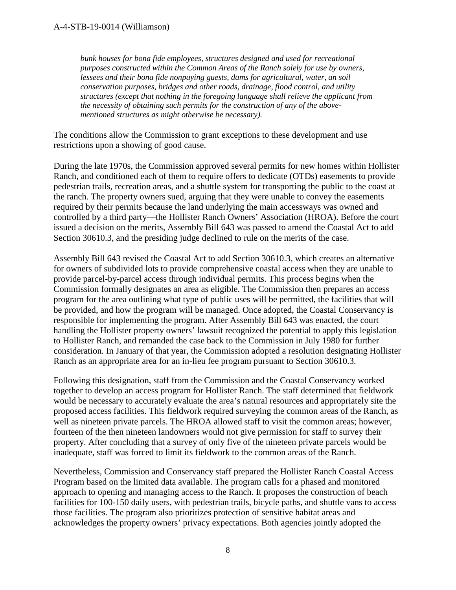#### A-4-STB-19-0014 (Williamson)

*bunk houses for bona fide employees, structures designed and used for recreational purposes constructed within the Common Areas of the Ranch solely for use by owners, lessees and their bona fide nonpaying guests, dams for agricultural, water, an soil conservation purposes, bridges and other roads, drainage, flood control, and utility structures (except that nothing in the foregoing language shall relieve the applicant from the necessity of obtaining such permits for the construction of any of the abovementioned structures as might otherwise be necessary).*

The conditions allow the Commission to grant exceptions to these development and use restrictions upon a showing of good cause.

During the late 1970s, the Commission approved several permits for new homes within Hollister Ranch, and conditioned each of them to require offers to dedicate (OTDs) easements to provide pedestrian trails, recreation areas, and a shuttle system for transporting the public to the coast at the ranch. The property owners sued, arguing that they were unable to convey the easements required by their permits because the land underlying the main accessways was owned and controlled by a third party—the Hollister Ranch Owners' Association (HROA). Before the court issued a decision on the merits, Assembly Bill 643 was passed to amend the Coastal Act to add Section 30610.3, and the presiding judge declined to rule on the merits of the case.

Assembly Bill 643 revised the Coastal Act to add Section 30610.3, which creates an alternative for owners of subdivided lots to provide comprehensive coastal access when they are unable to provide parcel-by-parcel access through individual permits. This process begins when the Commission formally designates an area as eligible. The Commission then prepares an access program for the area outlining what type of public uses will be permitted, the facilities that will be provided, and how the program will be managed. Once adopted, the Coastal Conservancy is responsible for implementing the program. After Assembly Bill 643 was enacted, the court handling the Hollister property owners' lawsuit recognized the potential to apply this legislation to Hollister Ranch, and remanded the case back to the Commission in July 1980 for further consideration. In January of that year, the Commission adopted a resolution designating Hollister Ranch as an appropriate area for an in-lieu fee program pursuant to Section 30610.3.

Following this designation, staff from the Commission and the Coastal Conservancy worked together to develop an access program for Hollister Ranch. The staff determined that fieldwork would be necessary to accurately evaluate the area's natural resources and appropriately site the proposed access facilities. This fieldwork required surveying the common areas of the Ranch, as well as nineteen private parcels. The HROA allowed staff to visit the common areas; however, fourteen of the then nineteen landowners would not give permission for staff to survey their property. After concluding that a survey of only five of the nineteen private parcels would be inadequate, staff was forced to limit its fieldwork to the common areas of the Ranch.

Nevertheless, Commission and Conservancy staff prepared the Hollister Ranch Coastal Access Program based on the limited data available. The program calls for a phased and monitored approach to opening and managing access to the Ranch. It proposes the construction of beach facilities for 100-150 daily users, with pedestrian trails, bicycle paths, and shuttle vans to access those facilities. The program also prioritizes protection of sensitive habitat areas and acknowledges the property owners' privacy expectations. Both agencies jointly adopted the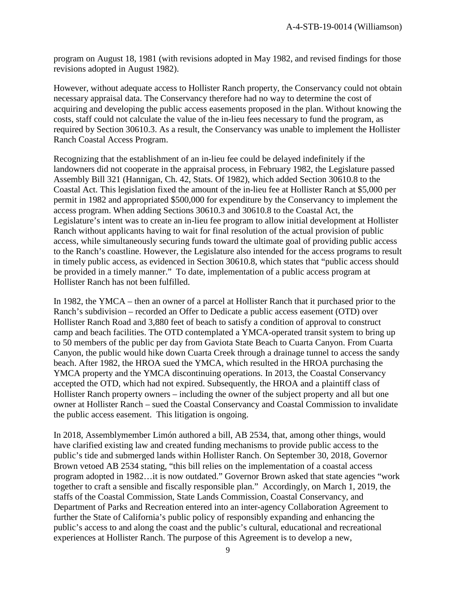program on August 18, 1981 (with revisions adopted in May 1982, and revised findings for those revisions adopted in August 1982).

However, without adequate access to Hollister Ranch property, the Conservancy could not obtain necessary appraisal data. The Conservancy therefore had no way to determine the cost of acquiring and developing the public access easements proposed in the plan. Without knowing the costs, staff could not calculate the value of the in-lieu fees necessary to fund the program, as required by Section 30610.3. As a result, the Conservancy was unable to implement the Hollister Ranch Coastal Access Program.

Recognizing that the establishment of an in-lieu fee could be delayed indefinitely if the landowners did not cooperate in the appraisal process, in February 1982, the Legislature passed Assembly Bill 321 (Hannigan, Ch. 42, Stats. Of 1982), which added Section 30610.8 to the Coastal Act. This legislation fixed the amount of the in-lieu fee at Hollister Ranch at \$5,000 per permit in 1982 and appropriated \$500,000 for expenditure by the Conservancy to implement the access program. When adding Sections 30610.3 and 30610.8 to the Coastal Act, the Legislature's intent was to create an in-lieu fee program to allow initial development at Hollister Ranch without applicants having to wait for final resolution of the actual provision of public access, while simultaneously securing funds toward the ultimate goal of providing public access to the Ranch's coastline. However, the Legislature also intended for the access programs to result in timely public access, as evidenced in Section 30610.8, which states that "public access should be provided in a timely manner." To date, implementation of a public access program at Hollister Ranch has not been fulfilled.

In 1982, the YMCA – then an owner of a parcel at Hollister Ranch that it purchased prior to the Ranch's subdivision – recorded an Offer to Dedicate a public access easement (OTD) over Hollister Ranch Road and 3,880 feet of beach to satisfy a condition of approval to construct camp and beach facilities. The OTD contemplated a YMCA-operated transit system to bring up to 50 members of the public per day from Gaviota State Beach to Cuarta Canyon. From Cuarta Canyon, the public would hike down Cuarta Creek through a drainage tunnel to access the sandy beach. After 1982, the HROA sued the YMCA, which resulted in the HROA purchasing the YMCA property and the YMCA discontinuing operations. In 2013, the Coastal Conservancy accepted the OTD, which had not expired. Subsequently, the HROA and a plaintiff class of Hollister Ranch property owners – including the owner of the subject property and all but one owner at Hollister Ranch – sued the Coastal Conservancy and Coastal Commission to invalidate the public access easement. This litigation is ongoing.

In 2018, Assemblymember Limón authored a bill, AB 2534, that, among other things, would have clarified existing law and created funding mechanisms to provide public access to the public's tide and submerged lands within Hollister Ranch. On September 30, 2018, Governor Brown vetoed AB 2534 stating, "this bill relies on the implementation of a coastal access program adopted in 1982…it is now outdated." Governor Brown asked that state agencies "work together to craft a sensible and fiscally responsible plan." Accordingly, on March 1, 2019, the staffs of the Coastal Commission, State Lands Commission, Coastal Conservancy, and Department of Parks and Recreation entered into an inter-agency Collaboration Agreement to further the State of California's public policy of responsibly expanding and enhancing the public's access to and along the coast and the public's cultural, educational and recreational experiences at Hollister Ranch. The purpose of this Agreement is to develop a new,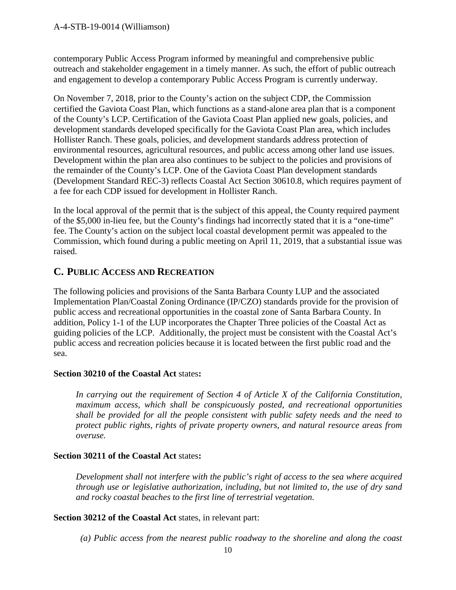contemporary Public Access Program informed by meaningful and comprehensive public outreach and stakeholder engagement in a timely manner. As such, the effort of public outreach and engagement to develop a contemporary Public Access Program is currently underway.

On November 7, 2018, prior to the County's action on the subject CDP, the Commission certified the Gaviota Coast Plan, which functions as a stand-alone area plan that is a component of the County's LCP. Certification of the Gaviota Coast Plan applied new goals, policies, and development standards developed specifically for the Gaviota Coast Plan area, which includes Hollister Ranch. These goals, policies, and development standards address protection of environmental resources, agricultural resources, and public access among other land use issues. Development within the plan area also continues to be subject to the policies and provisions of the remainder of the County's LCP. One of the Gaviota Coast Plan development standards (Development Standard REC-3) reflects Coastal Act Section 30610.8, which requires payment of a fee for each CDP issued for development in Hollister Ranch.

In the local approval of the permit that is the subject of this appeal, the County required payment of the \$5,000 in-lieu fee, but the County's findings had incorrectly stated that it is a "one-time" fee. The County's action on the subject local coastal development permit was appealed to the Commission, which found during a public meeting on April 11, 2019, that a substantial issue was raised.

## <span id="page-9-0"></span>**C. PUBLIC ACCESS AND RECREATION**

The following policies and provisions of the Santa Barbara County LUP and the associated Implementation Plan/Coastal Zoning Ordinance (IP/CZO) standards provide for the provision of public access and recreational opportunities in the coastal zone of Santa Barbara County. In addition, Policy 1-1 of the LUP incorporates the Chapter Three policies of the Coastal Act as guiding policies of the LCP. Additionally, the project must be consistent with the Coastal Act's public access and recreation policies because it is located between the first public road and the sea.

## **Section 30210 of the Coastal Act** states**:**

*In carrying out the requirement of Section 4 of Article X of the California Constitution, maximum access, which shall be conspicuously posted, and recreational opportunities shall be provided for all the people consistent with public safety needs and the need to protect public rights, rights of private property owners, and natural resource areas from overuse.*

## **Section 30211 of the Coastal Act** states**:**

*Development shall not interfere with the public's right of access to the sea where acquired through use or legislative authorization, including, but not limited to, the use of dry sand and rocky coastal beaches to the first line of terrestrial vegetation.*

## **Section 30212 of the Coastal Act** states, in relevant part:

*(a) Public access from the nearest public roadway to the shoreline and along the coast*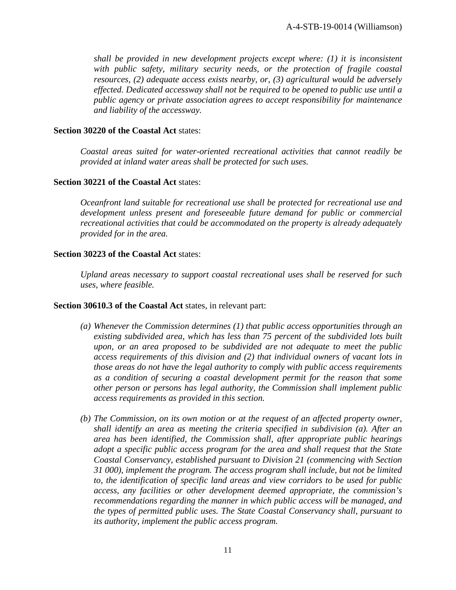*shall be provided in new development projects except where: (1) it is inconsistent with public safety, military security needs, or the protection of fragile coastal resources, (2) adequate access exists nearby, or, (3) agricultural would be adversely effected. Dedicated accessway shall not be required to be opened to public use until a public agency or private association agrees to accept responsibility for maintenance and liability of the accessway.*

#### **Section 30220 of the Coastal Act** states:

*Coastal areas suited for water-oriented recreational activities that cannot readily be provided at inland water areas shall be protected for such uses.*

#### **Section 30221 of the Coastal Act** states:

*Oceanfront land suitable for recreational use shall be protected for recreational use and development unless present and foreseeable future demand for public or commercial recreational activities that could be accommodated on the property is already adequately provided for in the area.*

#### **Section 30223 of the Coastal Act** states:

*Upland areas necessary to support coastal recreational uses shall be reserved for such uses, where feasible.*

#### **Section 30610.3 of the Coastal Act** states, in relevant part:

- *(a) Whenever the Commission determines (1) that public access opportunities through an existing subdivided area, which has less than 75 percent of the subdivided lots built upon, or an area proposed to be subdivided are not adequate to meet the public access requirements of this division and (2) that individual owners of vacant lots in those areas do not have the legal authority to comply with public access requirements as a condition of securing a coastal development permit for the reason that some other person or persons has legal authority, the Commission shall implement public access requirements as provided in this section.*
- *(b) The Commission, on its own motion or at the request of an affected property owner, shall identify an area as meeting the criteria specified in subdivision (a). After an area has been identified, the Commission shall, after appropriate public hearings adopt a specific public access program for the area and shall request that the State Coastal Conservancy, established pursuant to Division 21 (commencing with Section 31 000), implement the program. The access program shall include, but not be limited to, the identification of specific land areas and view corridors to be used for public access, any facilities or other development deemed appropriate, the commission's recommendations regarding the manner in which public access will be managed, and the types of permitted public uses. The State Coastal Conservancy shall, pursuant to its authority, implement the public access program.*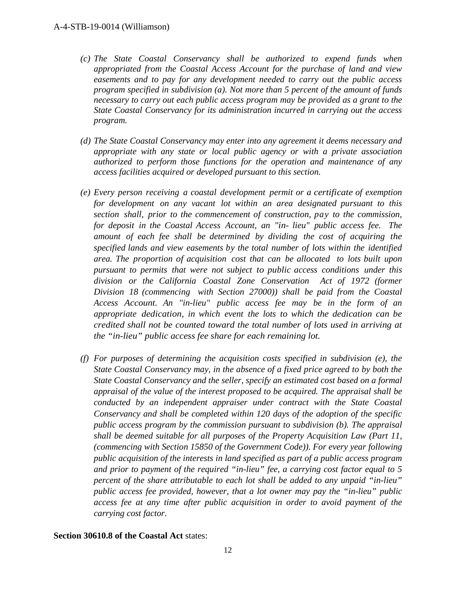- *(c) The State Coastal Conservancy shall be authorized to expend funds when appropriated from the Coastal Access Account for the purchase of land and view easements and to pay for any development needed to carry out the public access program specified in subdivision (a). Not more than 5 percent of the amount of funds necessary to carry out each public access program may be provided as a grant to the State Coastal Conservancy for its administration incurred in carrying out the access program.*
- *(d) The State Coastal Conservancy may enter into any agreement it deems necessary and appropriate with any state or local public agency or with a private association authorized to perform those functions for the operation and maintenance of any access facilities acquired or developed pursuant to this section.*
- *(e) Every person receiving a coastal development permit or a certificate of exemption for development on any vacant lot within an area designated pursuant to this section shall, prior to the commencement of construction, pay to the commission, for deposit in the Coastal Access Account, an "in- lieu" public access fee. The amount of each fee shall be determined by dividing the cost of acquiring the specified lands and view easements by the total number of lots within the identified area. The proportion of acquisition cost that can be allocated to lots built upon pursuant to permits that were not subject to public access conditions under this division or the California Coastal Zone Conservation Act of 1972 (former Division 18 (commencing with Section 27000)) shall be paid from the Coastal Access Account. An "in-lieu" public access fee may be in the form of an appropriate dedication, in which event the lots to which the dedication can be credited shall not be counted toward the total number of lots used in arriving at the "in-lieu" public access fee share for each remaining lot.*
- *(f) For purposes of determining the acquisition costs specified in subdivision (e), the State Coastal Conservancy may, in the absence of a fixed price agreed to by both the State Coastal Conservancy and the seller, specify an estimated cost based on a formal appraisal of the value of the interest proposed to be acquired. The appraisal shall be conducted by an independent appraiser under contract with the State Coastal Conservancy and shall be completed within 120 days of the adoption of the specific public access program by the commission pursuant to subdivision (b). The appraisal shall be deemed suitable for all purposes of the Property Acquisition Law (Part 11, (commencing with Section 15850 of the Government Code)). For every year following public acquisition of the interests in land specified as part of a public access program and prior to payment of the required "in-lieu" fee, a carrying cost factor equal to 5 percent of the share attributable to each lot shall be added to any unpaid "in-lieu" public access fee provided, however, that a lot owner may pay the "in-lieu" public access fee at any time after public acquisition in order to avoid payment of the carrying cost factor.*

## **Section 30610.8 of the Coastal Act** states: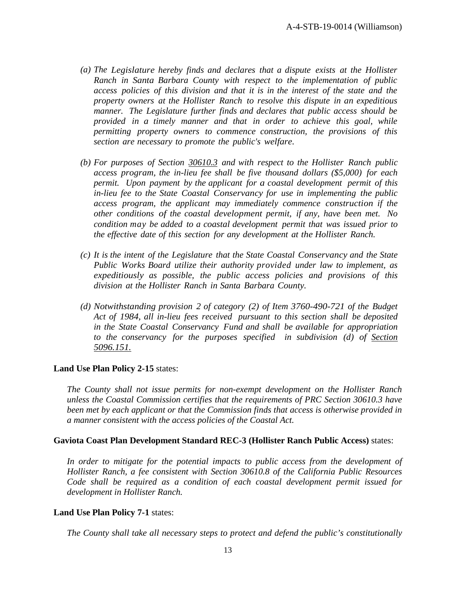- *(a) The Legislature hereby finds and declares that a dispute exists at the Hollister Ranch in Santa Barbara County with respect to the implementation of public access policies of this division and that it is in the interest of the state and the property owners at the Hollister Ranch to resolve this dispute in an expeditious manner. The Legislature further finds and declares that public access should be provided in a timely manner and that in order to achieve this goal, while permitting property owners to commence construction, the provisions of this section are necessary to promote the public's welfare.*
- *(b) For purposes of Section 30610.3 and with respect to the Hollister Ranch public access program, the in-lieu fee shall be five thousand dollars (\$5,000) for each permit. Upon payment by the applicant for a coastal development permit of this in-lieu fee to the State Coastal Conservancy for use in implementing the public access program, the applicant may immediately commence construction if the other conditions of the coastal development permit, if any, have been met. No condition may be added to a coastal development permit that was issued prior to the effective date of this section for any development at the Hollister Ranch.*
- *(c) It is the intent of the Legislature that the State Coastal Conservancy and the State Public Works Board utilize their authority provided under law to implement, as expeditiously as possible, the public access policies and provisions of this division at the Hollister Ranch in Santa Barbara County.*
- *(d) Notwithstanding provision 2 of category (2) of Item 3760-490-721 of the Budget Act of 1984, all in-lieu fees received pursuant to this section shall be deposited in the State Coastal Conservancy Fund and shall be available for appropriation to the conservancy for the purposes specified in subdivision (d) of Section 5096.151.*

#### **Land Use Plan Policy 2-15** states:

*The County shall not issue permits for non-exempt development on the Hollister Ranch unless the Coastal Commission certifies that the requirements of PRC Section 30610.3 have been met by each applicant or that the Commission finds that access is otherwise provided in a manner consistent with the access policies of the Coastal Act.*

#### **Gaviota Coast Plan Development Standard REC-3 (Hollister Ranch Public Access)** states:

In order to mitigate for the potential impacts to public access from the development of *Hollister Ranch, a fee consistent with Section 30610.8 of the California Public Resources Code shall be required as a condition of each coastal development permit issued for development in Hollister Ranch.*

#### **Land Use Plan Policy 7-1** states:

*The County shall take all necessary steps to protect and defend the public's constitutionally*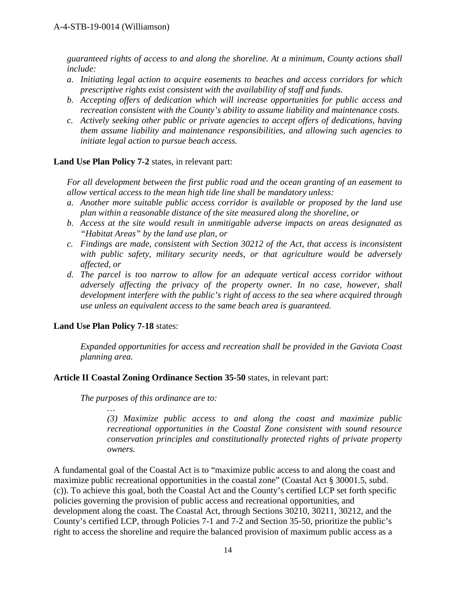*guaranteed rights of access to and along the shoreline. At a minimum, County actions shall include:*

- *a. Initiating legal action to acquire easements to beaches and access corridors for which prescriptive rights exist consistent with the availability of staff and funds.*
- *b. Accepting offers of dedication which will increase opportunities for public access and recreation consistent with the County's ability to assume liability and maintenance costs.*
- *c. Actively seeking other public or private agencies to accept offers of dedications, having them assume liability and maintenance responsibilities, and allowing such agencies to initiate legal action to pursue beach access.*

#### **Land Use Plan Policy 7-2** states, in relevant part:

*For all development between the first public road and the ocean granting of an easement to allow vertical access to the mean high tide line shall be mandatory unless:*

- *a. Another more suitable public access corridor is available or proposed by the land use plan within a reasonable distance of the site measured along the shoreline, or*
- *b. Access at the site would result in unmitigable adverse impacts on areas designated as "Habitat Areas" by the land use plan, or*
- *c. Findings are made, consistent with Section 30212 of the Act, that access is inconsistent with public safety, military security needs, or that agriculture would be adversely affected, or*
- *d. The parcel is too narrow to allow for an adequate vertical access corridor without adversely affecting the privacy of the property owner. In no case, however, shall development interfere with the public's right of access to the sea where acquired through use unless an equivalent access to the same beach area is guaranteed.*

#### **Land Use Plan Policy 7-18** states:

*Expanded opportunities for access and recreation shall be provided in the Gaviota Coast planning area.*

#### **Article II Coastal Zoning Ordinance Section 35-50** states, in relevant part:

*The purposes of this ordinance are to:*

*… (3) Maximize public access to and along the coast and maximize public recreational opportunities in the Coastal Zone consistent with sound resource conservation principles and constitutionally protected rights of private property owners.*

A fundamental goal of the Coastal Act is to "maximize public access to and along the coast and maximize public recreational opportunities in the coastal zone" (Coastal Act § 30001.5, subd. (c)). To achieve this goal, both the Coastal Act and the County's certified LCP set forth specific policies governing the provision of public access and recreational opportunities, and development along the coast. The Coastal Act, through Sections 30210, 30211, 30212, and the County's certified LCP, through Policies 7-1 and 7-2 and Section 35-50, prioritize the public's right to access the shoreline and require the balanced provision of maximum public access as a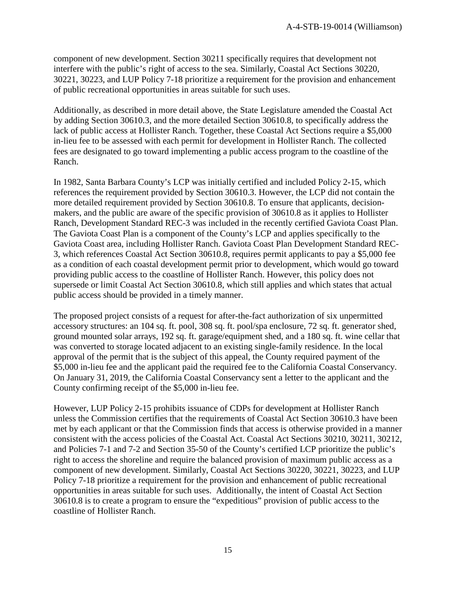component of new development. Section 30211 specifically requires that development not interfere with the public's right of access to the sea. Similarly, Coastal Act Sections 30220, 30221, 30223, and LUP Policy 7-18 prioritize a requirement for the provision and enhancement of public recreational opportunities in areas suitable for such uses.

Additionally, as described in more detail above, the State Legislature amended the Coastal Act by adding Section 30610.3, and the more detailed Section 30610.8, to specifically address the lack of public access at Hollister Ranch. Together, these Coastal Act Sections require a \$5,000 in-lieu fee to be assessed with each permit for development in Hollister Ranch. The collected fees are designated to go toward implementing a public access program to the coastline of the Ranch.

In 1982, Santa Barbara County's LCP was initially certified and included Policy 2-15, which references the requirement provided by Section 30610.3. However, the LCP did not contain the more detailed requirement provided by Section 30610.8. To ensure that applicants, decisionmakers, and the public are aware of the specific provision of 30610.8 as it applies to Hollister Ranch, Development Standard REC-3 was included in the recently certified Gaviota Coast Plan. The Gaviota Coast Plan is a component of the County's LCP and applies specifically to the Gaviota Coast area, including Hollister Ranch. Gaviota Coast Plan Development Standard REC-3, which references Coastal Act Section 30610.8, requires permit applicants to pay a \$5,000 fee as a condition of each coastal development permit prior to development, which would go toward providing public access to the coastline of Hollister Ranch. However, this policy does not supersede or limit Coastal Act Section 30610.8, which still applies and which states that actual public access should be provided in a timely manner.

The proposed project consists of a request for after-the-fact authorization of six unpermitted accessory structures: an 104 sq. ft. pool, 308 sq. ft. pool/spa enclosure, 72 sq. ft. generator shed, ground mounted solar arrays, 192 sq. ft. garage/equipment shed, and a 180 sq. ft. wine cellar that was converted to storage located adjacent to an existing single-family residence. In the local approval of the permit that is the subject of this appeal, the County required payment of the \$5,000 in-lieu fee and the applicant paid the required fee to the California Coastal Conservancy. On January 31, 2019, the California Coastal Conservancy sent a letter to the applicant and the County confirming receipt of the \$5,000 in-lieu fee.

However, LUP Policy 2-15 prohibits issuance of CDPs for development at Hollister Ranch unless the Commission certifies that the requirements of Coastal Act Section 30610.3 have been met by each applicant or that the Commission finds that access is otherwise provided in a manner consistent with the access policies of the Coastal Act. Coastal Act Sections 30210, 30211, 30212, and Policies 7-1 and 7-2 and Section 35-50 of the County's certified LCP prioritize the public's right to access the shoreline and require the balanced provision of maximum public access as a component of new development. Similarly, Coastal Act Sections 30220, 30221, 30223, and LUP Policy 7-18 prioritize a requirement for the provision and enhancement of public recreational opportunities in areas suitable for such uses. Additionally, the intent of Coastal Act Section 30610.8 is to create a program to ensure the "expeditious" provision of public access to the coastline of Hollister Ranch.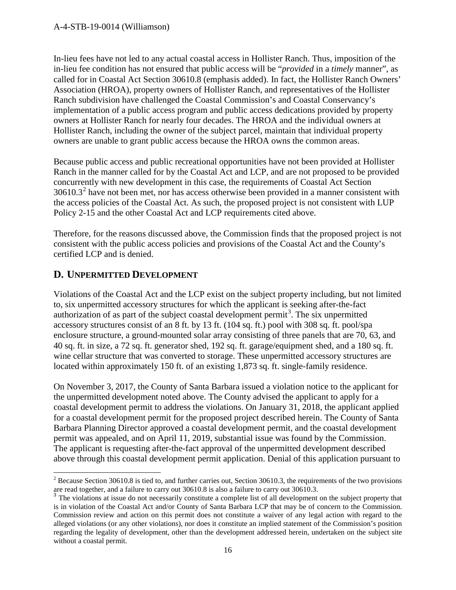In-lieu fees have not led to any actual coastal access in Hollister Ranch. Thus, imposition of the in-lieu fee condition has not ensured that public access will be "*provided* in a *timely* manner", as called for in Coastal Act Section 30610.8 (emphasis added). In fact, the Hollister Ranch Owners' Association (HROA), property owners of Hollister Ranch, and representatives of the Hollister Ranch subdivision have challenged the Coastal Commission's and Coastal Conservancy's implementation of a public access program and public access dedications provided by property owners at Hollister Ranch for nearly four decades. The HROA and the individual owners at Hollister Ranch, including the owner of the subject parcel, maintain that individual property owners are unable to grant public access because the HROA owns the common areas.

Because public access and public recreational opportunities have not been provided at Hollister Ranch in the manner called for by the Coastal Act and LCP, and are not proposed to be provided concurrently with new development in this case, the requirements of Coastal Act Section  $30610.3<sup>2</sup>$  $30610.3<sup>2</sup>$  $30610.3<sup>2</sup>$  have not been met, nor has access otherwise been provided in a manner consistent with the access policies of the Coastal Act. As such, the proposed project is not consistent with LUP Policy 2-15 and the other Coastal Act and LCP requirements cited above.

Therefore, for the reasons discussed above, the Commission finds that the proposed project is not consistent with the public access policies and provisions of the Coastal Act and the County's certified LCP and is denied.

## <span id="page-15-0"></span>**D. UNPERMITTED DEVELOPMENT**

Violations of the Coastal Act and the LCP exist on the subject property including, but not limited to, six unpermitted accessory structures for which the applicant is seeking after-the-fact authorization of as part of the subject coastal development permit<sup>[3](#page-15-2)</sup>. The six unpermitted accessory structures consist of an 8 ft. by 13 ft. (104 sq. ft.) pool with 308 sq. ft. pool/spa enclosure structure, a ground-mounted solar array consisting of three panels that are 70, 63, and 40 sq. ft. in size, a 72 sq. ft. generator shed, 192 sq. ft. garage/equipment shed, and a 180 sq. ft. wine cellar structure that was converted to storage. These unpermitted accessory structures are located within approximately 150 ft. of an existing 1,873 sq. ft. single-family residence.

On November 3, 2017, the County of Santa Barbara issued a violation notice to the applicant for the unpermitted development noted above. The County advised the applicant to apply for a coastal development permit to address the violations. On January 31, 2018, the applicant applied for a coastal development permit for the proposed project described herein. The County of Santa Barbara Planning Director approved a coastal development permit, and the coastal development permit was appealed, and on April 11, 2019, substantial issue was found by the Commission. The applicant is requesting after-the-fact approval of the unpermitted development described above through this coastal development permit application. Denial of this application pursuant to

<span id="page-15-1"></span> $2$  Because Section 30610.8 is tied to, and further carries out, Section 30610.3, the requirements of the two provisions are read together, and a failure to carry out 30610.8 is also a failure to carry out 30610.3.

<span id="page-15-2"></span><sup>&</sup>lt;sup>3</sup> The violations at issue do not necessarily constitute a complete list of all development on the subject property that is in violation of the Coastal Act and/or County of Santa Barbara LCP that may be of concern to the Commission. Commission review and action on this permit does not constitute a waiver of any legal action with regard to the alleged violations (or any other violations), nor does it constitute an implied statement of the Commission's position regarding the legality of development, other than the development addressed herein, undertaken on the subject site without a coastal permit.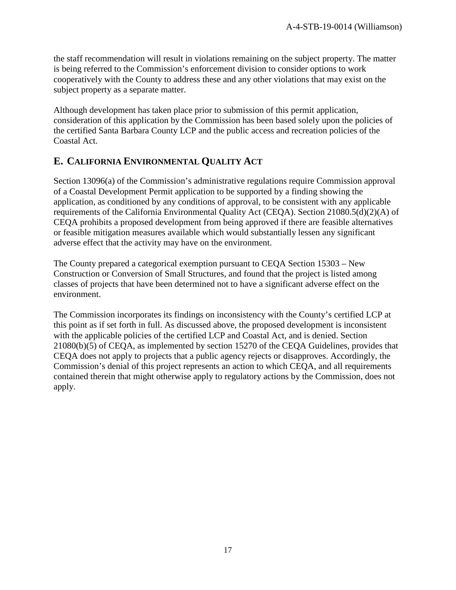the staff recommendation will result in violations remaining on the subject property. The matter is being referred to the Commission's enforcement division to consider options to work cooperatively with the County to address these and any other violations that may exist on the subject property as a separate matter.

Although development has taken place prior to submission of this permit application, consideration of this application by the Commission has been based solely upon the policies of the certified Santa Barbara County LCP and the public access and recreation policies of the Coastal Act.

## <span id="page-16-0"></span>**E. CALIFORNIA ENVIRONMENTAL QUALITY ACT**

Section 13096(a) of the Commission's administrative regulations require Commission approval of a Coastal Development Permit application to be supported by a finding showing the application, as conditioned by any conditions of approval, to be consistent with any applicable requirements of the California Environmental Quality Act (CEQA). Section 21080.5(d)(2)(A) of CEQA prohibits a proposed development from being approved if there are feasible alternatives or feasible mitigation measures available which would substantially lessen any significant adverse effect that the activity may have on the environment.

The County prepared a categorical exemption pursuant to CEQA Section 15303 – New Construction or Conversion of Small Structures, and found that the project is listed among classes of projects that have been determined not to have a significant adverse effect on the environment.

<span id="page-16-1"></span>The Commission incorporates its findings on inconsistency with the County's certified LCP at this point as if set forth in full. As discussed above, the proposed development is inconsistent with the applicable policies of the certified LCP and Coastal Act, and is denied. Section 21080(b)(5) of CEQA, as implemented by section 15270 of the CEQA Guidelines, provides that CEQA does not apply to projects that a public agency rejects or disapproves. Accordingly, the Commission's denial of this project represents an action to which CEQA, and all requirements contained therein that might otherwise apply to regulatory actions by the Commission, does not apply.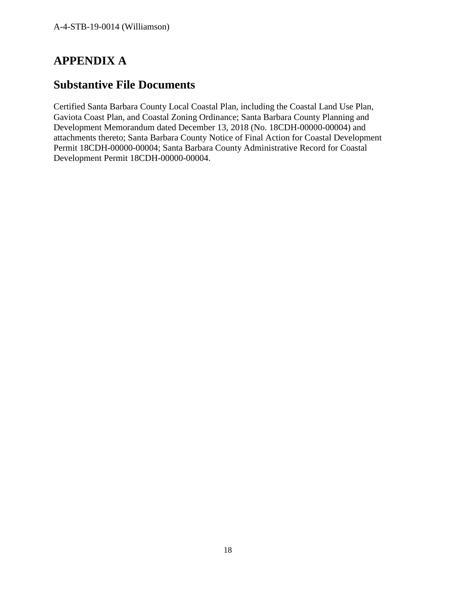# **APPENDIX A**

## **Substantive File Documents**

<span id="page-17-0"></span>Certified Santa Barbara County Local Coastal Plan, including the Coastal Land Use Plan, Gaviota Coast Plan, and Coastal Zoning Ordinance; Santa Barbara County Planning and Development Memorandum dated December 13, 2018 (No. 18CDH-00000-00004) and attachments thereto; Santa Barbara County Notice of Final Action for Coastal Development Permit 18CDH-00000-00004; Santa Barbara County Administrative Record for Coastal Development Permit 18CDH-00000-00004.